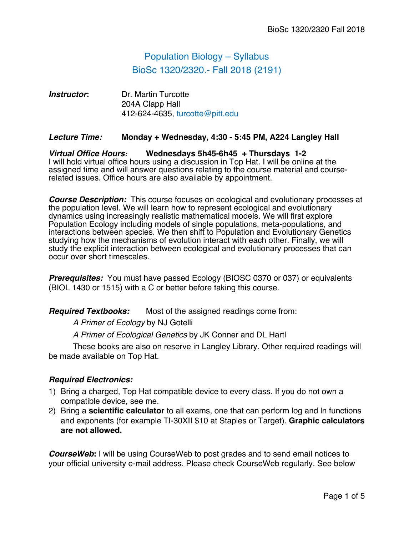# Population Biology – Syllabus BioSc 1320/2320.- Fall 2018 (2191)

## *Instructor***:** Dr. Martin Turcotte 204A Clapp Hall 412-624-4635, turcotte@pitt.edu

### *Lecture Time:* **Monday + Wednesday, 4:30 - 5:45 PM, A224 Langley Hall**

#### *Virtual Office Hours:* **Wednesdays 5h45-6h45 + Thursdays 1-2** I will hold virtual office hours using a discussion in Top Hat. I will be online at the assigned time and will answer questions relating to the course material and courserelated issues. Office hours are also available by appointment.

*Course Description:* This course focuses on ecological and evolutionary processes at the population level. We will learn how to represent ecological and evolutionary dynamics using increasingly realistic mathematical models. We will first explore Population Ecology including models of single populations, meta-populations, and interactions between species. We then shift to Population and Evolutionary Genetics studying how the mechanisms of evolution interact with each other. Finally, we will study the explicit interaction between ecological and evolutionary processes that can occur over short timescales.

*Prerequisites:* You must have passed Ecology (BIOSC 0370 or 037) or equivalents (BIOL 1430 or 1515) with a C or better before taking this course.

**Required Textbooks:** Most of the assigned readings come from:

*A Primer of Ecology* by NJ Gotelli

*A Primer of Ecological Genetics* by JK Conner and DL Hartl

These books are also on reserve in Langley Library. Other required readings will be made available on Top Hat.

## *Required Electronics:*

- 1) Bring a charged, Top Hat compatible device to every class. If you do not own a compatible device, see me.
- 2) Bring a **scientific calculator** to all exams, one that can perform log and ln functions and exponents (for example TI-30XII \$10 at Staples or Target). **Graphic calculators are not allowed.**

*CourseWeb***:** I will be using CourseWeb to post grades and to send email notices to your official university e-mail address. Please check CourseWeb regularly. See below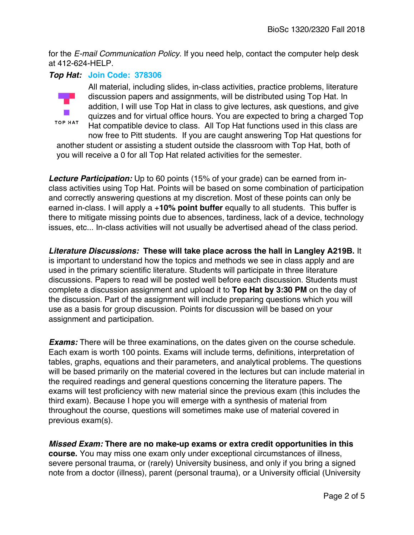for the *E-mail Communication Policy.* If you need help, contact the computer help desk at 412-624-HELP.

## *Top Hat:* **Join Code: 378306**



All material, including slides, in-class activities, practice problems, literature discussion papers and assignments, will be distributed using Top Hat. In addition, I will use Top Hat in class to give lectures, ask questions, and give quizzes and for virtual office hours. You are expected to bring a charged Top Hat compatible device to class. All Top Hat functions used in this class are

now free to Pitt students. If you are caught answering Top Hat questions for another student or assisting a student outside the classroom with Top Hat, both of you will receive a 0 for all Top Hat related activities for the semester.

*Lecture Participation:* Up to 60 points (15% of your grade) can be earned from inclass activities using Top Hat. Points will be based on some combination of participation and correctly answering questions at my discretion. Most of these points can only be earned in-class. I will apply a +**10% point buffer** equally to all students. This buffer is there to mitigate missing points due to absences, tardiness, lack of a device, technology issues, etc... In-class activities will not usually be advertised ahead of the class period.

*Literature Discussions:* **These will take place across the hall in Langley A219B.** It is important to understand how the topics and methods we see in class apply and are used in the primary scientific literature. Students will participate in three literature discussions. Papers to read will be posted well before each discussion. Students must complete a discussion assignment and upload it to **Top Hat by 3:30 PM** on the day of the discussion. Part of the assignment will include preparing questions which you will use as a basis for group discussion. Points for discussion will be based on your assignment and participation.

*Exams:* There will be three examinations, on the dates given on the course schedule. Each exam is worth 100 points. Exams will include terms, definitions, interpretation of tables, graphs, equations and their parameters, and analytical problems. The questions will be based primarily on the material covered in the lectures but can include material in the required readings and general questions concerning the literature papers. The exams will test proficiency with new material since the previous exam (this includes the third exam). Because I hope you will emerge with a synthesis of material from throughout the course, questions will sometimes make use of material covered in previous exam(s).

*Missed Exam:* **There are no make-up exams or extra credit opportunities in this course.** You may miss one exam only under exceptional circumstances of illness, severe personal trauma, or (rarely) University business, and only if you bring a signed note from a doctor (illness), parent (personal trauma), or a University official (University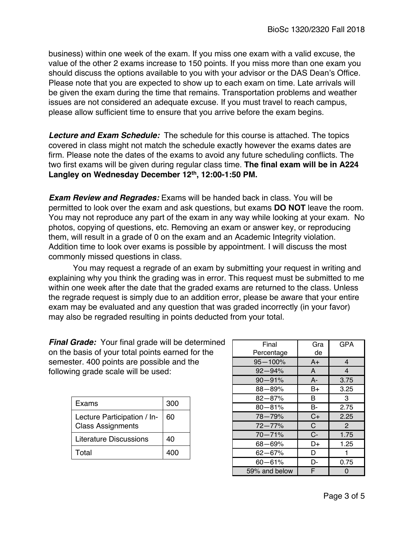business) within one week of the exam. If you miss one exam with a valid excuse, the value of the other 2 exams increase to 150 points. If you miss more than one exam you should discuss the options available to you with your advisor or the DAS Dean's Office. Please note that you are expected to show up to each exam on time. Late arrivals will be given the exam during the time that remains. Transportation problems and weather issues are not considered an adequate excuse. If you must travel to reach campus, please allow sufficient time to ensure that you arrive before the exam begins.

*Lecture and Exam Schedule:* The schedule for this course is attached. The topics covered in class might not match the schedule exactly however the exams dates are firm. Please note the dates of the exams to avoid any future scheduling conflicts. The two first exams will be given during regular class time. **The final exam will be in A224**  Langley on Wednesday December 12<sup>th</sup>, 12:00-1:50 PM.

*Exam Review and Regrades:* Exams will be handed back in class. You will be permitted to look over the exam and ask questions, but exams **DO NOT** leave the room. You may not reproduce any part of the exam in any way while looking at your exam. No photos, copying of questions, etc. Removing an exam or answer key, or reproducing them, will result in a grade of 0 on the exam and an Academic Integrity violation. Addition time to look over exams is possible by appointment. I will discuss the most commonly missed questions in class.

You may request a regrade of an exam by submitting your request in writing and explaining why you think the grading was in error. This request must be submitted to me within one week after the date that the graded exams are returned to the class. Unless the regrade request is simply due to an addition error, please be aware that your entire exam may be evaluated and any question that was graded incorrectly (in your favor) may also be regraded resulting in points deducted from your total.

*Final Grade:* Your final grade will be determined on the basis of your total points earned for the semester. 400 points are possible and the following grade scale will be used:

| Exams                                                   | 300 |
|---------------------------------------------------------|-----|
| Lecture Participation / In-<br><b>Class Assignments</b> | 60  |
| Literature Discussions                                  | 40  |
| Total                                                   |     |

| Final<br>Percentage | Gra<br>de | <b>GPA</b>     |
|---------------------|-----------|----------------|
| $95 - 100%$         | $A+$      | 4              |
| $92 - 94%$          | A         | $\overline{4}$ |
| $90 - 91%$          | $A -$     | 3.75           |
| $88 - 89%$          | B+        | 3.25           |
| $82 - 87%$          | в         | 3              |
| $80 - 81%$          | B-        | 2.75           |
| 78-79%              | $C+$      | 2.25           |
| $72 - 77%$          | C         | $\mathbf{P}$   |
| $70 - 71%$          | $C -$     | 1.75           |
| $68 - 69%$          | D+        | 1.25           |
| 62-67%              | D         | 1              |
| $60 - 61%$          | D-        | 0.75           |
| 59% and below       | F         | 0              |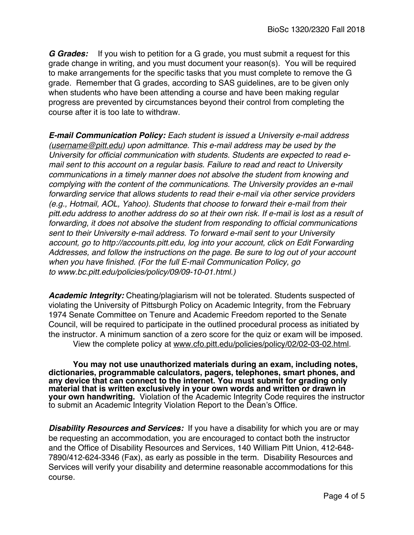*G Grades:* If you wish to petition for a G grade, you must submit a request for this grade change in writing, and you must document your reason(s). You will be required to make arrangements for the specific tasks that you must complete to remove the G grade. Remember that G grades, according to SAS guidelines, are to be given only when students who have been attending a course and have been making regular progress are prevented by circumstances beyond their control from completing the course after it is too late to withdraw.

*E-mail Communication Policy: Each student is issued a University e-mail address (username@pitt.edu) upon admittance. This e-mail address may be used by the University for official communication with students. Students are expected to read email sent to this account on a regular basis. Failure to read and react to University communications in a timely manner does not absolve the student from knowing and complying with the content of the communications. The University provides an e-mail forwarding service that allows students to read their e-mail via other service providers (e.g., Hotmail, AOL, Yahoo). Students that choose to forward their e-mail from their pitt.edu address to another address do so at their own risk. If e-mail is lost as a result of forwarding, it does not absolve the student from responding to official communications sent to their University e-mail address. To forward e-mail sent to your University account, go to http://accounts.pitt.edu, log into your account, click on Edit Forwarding Addresses, and follow the instructions on the page. Be sure to log out of your account when you have finished. (For the full E-mail Communication Policy, go to www.bc.pitt.edu/policies/policy/09/09-10-01.html.)*

*Academic Integrity:* Cheating/plagiarism will not be tolerated. Students suspected of violating the University of Pittsburgh Policy on Academic Integrity, from the February 1974 Senate Committee on Tenure and Academic Freedom reported to the Senate Council, will be required to participate in the outlined procedural process as initiated by the instructor. A minimum sanction of a zero score for the quiz or exam will be imposed. View the complete policy at www.cfo.pitt.edu/policies/policy/02/02-03-02.html.

**You may not use unauthorized materials during an exam, including notes, dictionaries, programmable calculators, pagers, telephones, smart phones, and any device that can connect to the internet. You must submit for grading only material that is written exclusively in your own words and written or drawn in your own handwriting.** Violation of the Academic Integrity Code requires the instructor to submit an Academic Integrity Violation Report to the Dean's Office.

*Disability Resources and Services:* If you have a disability for which you are or may be requesting an accommodation, you are encouraged to contact both the instructor and the Office of Disability Resources and Services, 140 William Pitt Union, 412-648- 7890/412-624-3346 (Fax), as early as possible in the term. Disability Resources and Services will verify your disability and determine reasonable accommodations for this course.